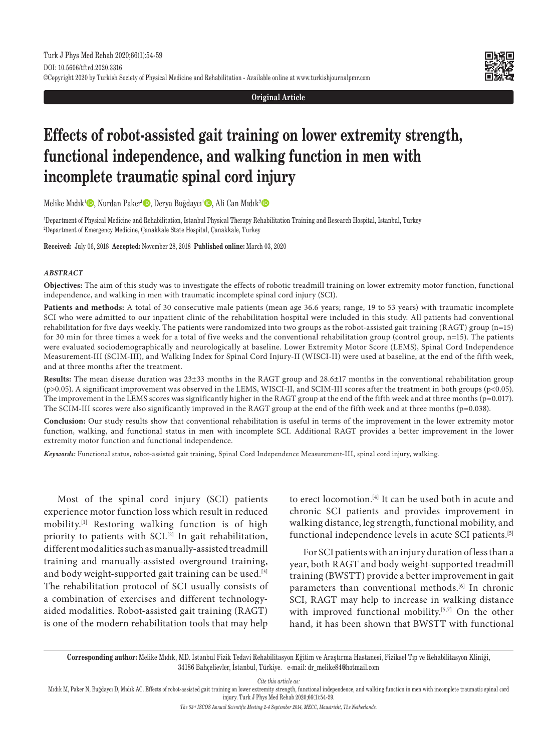**Original Article**

# **Effects of robot-assisted gait training on lower extremity strength, functional independence, and walking function in men with incomplete traumatic spinal cord injury**

Melike Mıdık<sup>ı</sup> D, Nurdan Paker<sup>ı</sup> D, Derya Buğdaycı<sup>ı</sup> D, Ali Can Mıdık<sup>2</sup> D

1 Department of Physical Medicine and Rehabilitation, Istanbul Physical Therapy Rehabilitation Training and Research Hospital, Istanbul, Turkey 2 Department of Emergency Medicine, Çanakkale State Hospital, Çanakkale, Turkey

**Received:** July 06, 2018 **Accepted:** November 28, 2018 **Published online:** March 03, 2020

### *ABSTRACT*

**Objectives:** The aim of this study was to investigate the effects of robotic treadmill training on lower extremity motor function, functional independence, and walking in men with traumatic incomplete spinal cord injury (SCI).

**Patients and methods:** A total of 30 consecutive male patients (mean age 36.6 years; range, 19 to 53 years) with traumatic incomplete SCI who were admitted to our inpatient clinic of the rehabilitation hospital were included in this study. All patients had conventional rehabilitation for five days weekly. The patients were randomized into two groups as the robot-assisted gait training (RAGT) group (n=15) for 30 min for three times a week for a total of five weeks and the conventional rehabilitation group (control group, n=15). The patients were evaluated sociodemographically and neurologically at baseline. Lower Extremity Motor Score (LEMS), Spinal Cord Independence Measurement-III (SCIM-III), and Walking Index for Spinal Cord Injury-II (WISCI-II) were used at baseline, at the end of the fifth week, and at three months after the treatment.

**Results:** The mean disease duration was 23±33 months in the RAGT group and 28.6±17 months in the conventional rehabilitation group (p>0.05). A significant improvement was observed in the LEMS, WISCI-II, and SCIM-III scores after the treatment in both groups (p<0.05). The improvement in the LEMS scores was significantly higher in the RAGT group at the end of the fifth week and at three months (p=0.017). The SCIM-III scores were also significantly improved in the RAGT group at the end of the fifth week and at three months (p=0.038).

**Conclusion:** Our study results show that conventional rehabilitation is useful in terms of the improvement in the lower extremity motor function, walking, and functional status in men with incomplete SCI. Additional RAGT provides a better improvement in the lower extremity motor function and functional independence.

*Keywords:* Functional status, robot-assisted gait training, Spinal Cord Independence Measurement-III, spinal cord injury, walking.

Most of the spinal cord injury (SCI) patients experience motor function loss which result in reduced mobility.[1] Restoring walking function is of high priority to patients with SCI.<sup>[2]</sup> In gait rehabilitation, different modalities such as manually-assisted treadmill training and manually-assisted overground training, and body weight-supported gait training can be used.<sup>[3]</sup> The rehabilitation protocol of SCI usually consists of a combination of exercises and different technologyaided modalities. Robot-assisted gait training (RAGT) is one of the modern rehabilitation tools that may help to erect locomotion.[4] It can be used both in acute and chronic SCI patients and provides improvement in walking distance, leg strength, functional mobility, and functional independence levels in acute SCI patients.[5]

For SCI patients with an injury duration of less than a year, both RAGT and body weight-supported treadmill training (BWSTT) provide a better improvement in gait parameters than conventional methods.<sup>[6]</sup> In chronic SCI, RAGT may help to increase in walking distance with improved functional mobility.<sup>[5,7]</sup> On the other hand, it has been shown that BWSTT with functional

**Corresponding author:** Melike Mıdık, MD. İstanbul Fizik Tedavi Rehabilitasyon Eğitim ve Araştırma Hastanesi, Fiziksel Tıp ve Rehabilitasyon Kliniği, 34186 Bahçelievler, İstanbul, Türkiye. e-mail: dr\_melike84@hotmail.com

*Cite this article as:*

Mıdık M, Paker N, Buğdaycı D, Mıdık AC. Effects of robot-assisted gait training on lower extremity strength, functional independence, and walking function in men with incomplete traumatic spinal cord injury. Turk J Phys Med Rehab 2020;66(1):54-59.

*The 53rd ISCOS Annual Scientific Meeting 2-4 September 2014, MECC, Maastricht, The Netherlands.*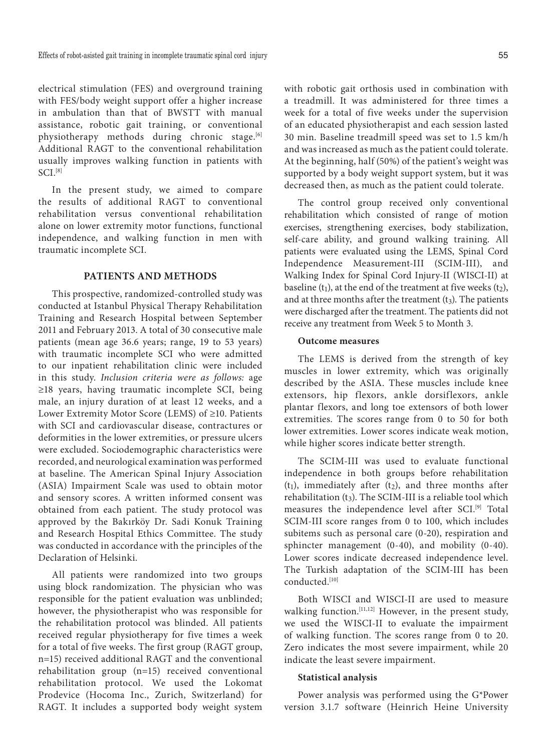electrical stimulation (FES) and overground training with FES/body weight support offer a higher increase in ambulation than that of BWSTT with manual assistance, robotic gait training, or conventional physiotherapy methods during chronic stage.<sup>[6]</sup> Additional RAGT to the conventional rehabilitation usually improves walking function in patients with  $SCI.$ <sup>[8]</sup>

In the present study, we aimed to compare the results of additional RAGT to conventional rehabilitation versus conventional rehabilitation alone on lower extremity motor functions, functional independence, and walking function in men with traumatic incomplete SCI.

## **PATIENTS AND METHODS**

This prospective, randomized-controlled study was conducted at Istanbul Physical Therapy Rehabilitation Training and Research Hospital between September 2011 and February 2013. A total of 30 consecutive male patients (mean age 36.6 years; range, 19 to 53 years) with traumatic incomplete SCI who were admitted to our inpatient rehabilitation clinic were included in this study. *Inclusion criteria were as follows:* age ≥18 years, having traumatic incomplete SCI, being male, an injury duration of at least 12 weeks, and a Lower Extremity Motor Score (LEMS) of ≥10. Patients with SCI and cardiovascular disease, contractures or deformities in the lower extremities, or pressure ulcers were excluded. Sociodemographic characteristics were recorded, and neurological examination was performed at baseline. The American Spinal Injury Association (ASIA) Impairment Scale was used to obtain motor and sensory scores. A written informed consent was obtained from each patient. The study protocol was approved by the Bakırköy Dr. Sadi Konuk Training and Research Hospital Ethics Committee. The study was conducted in accordance with the principles of the Declaration of Helsinki.

All patients were randomized into two groups using block randomization. The physician who was responsible for the patient evaluation was unblinded; however, the physiotherapist who was responsible for the rehabilitation protocol was blinded. All patients received regular physiotherapy for five times a week for a total of five weeks. The first group (RAGT group, n=15) received additional RAGT and the conventional rehabilitation group (n=15) received conventional rehabilitation protocol. We used the Lokomat Prodevice (Hocoma Inc., Zurich, Switzerland) for RAGT. It includes a supported body weight system with robotic gait orthosis used in combination with a treadmill. It was administered for three times a week for a total of five weeks under the supervision of an educated physiotherapist and each session lasted 30 min. Baseline treadmill speed was set to 1.5 km/h and was increased as much as the patient could tolerate. At the beginning, half (50%) of the patient's weight was supported by a body weight support system, but it was decreased then, as much as the patient could tolerate.

The control group received only conventional rehabilitation which consisted of range of motion exercises, strengthening exercises, body stabilization, self-care ability, and ground walking training. All patients were evaluated using the LEMS, Spinal Cord Independence Measurement-III (SCIM-III), and Walking Index for Spinal Cord Injury-II (WISCI-II) at baseline  $(t_1)$ , at the end of the treatment at five weeks  $(t_2)$ , and at three months after the treatment  $(t_3)$ . The patients were discharged after the treatment. The patients did not receive any treatment from Week 5 to Month 3.

## **Outcome measures**

The LEMS is derived from the strength of key muscles in lower extremity, which was originally described by the ASIA. These muscles include knee extensors, hip flexors, ankle dorsiflexors, ankle plantar flexors, and long toe extensors of both lower extremities. The scores range from 0 to 50 for both lower extremities. Lower scores indicate weak motion, while higher scores indicate better strength.

The SCIM-III was used to evaluate functional independence in both groups before rehabilitation  $(t_1)$ , immediately after  $(t_2)$ , and three months after rehabilitation (t3). The SCIM-III is a reliable tool which measures the independence level after SCI.<sup>[9]</sup> Total SCIM-III score ranges from 0 to 100, which includes subitems such as personal care (0-20), respiration and sphincter management (0-40), and mobility (0-40). Lower scores indicate decreased independence level. The Turkish adaptation of the SCIM-III has been conducted.[10]

Both WISCI and WISCI-II are used to measure walking function.<sup>[11,12]</sup> However, in the present study, we used the WISCI-II to evaluate the impairment of walking function. The scores range from 0 to 20. Zero indicates the most severe impairment, while 20 indicate the least severe impairment.

## **Statistical analysis**

Power analysis was performed using the G\*Power version 3.1.7 software (Heinrich Heine University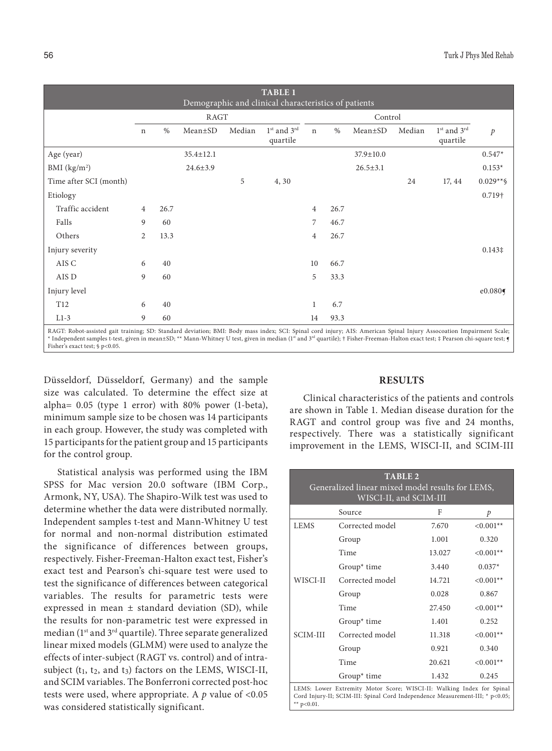| <b>TABLE 1</b><br>Demographic and clinical characteristics of patients                                                                                                                                                                                                                                                                                   |      |      |                 |        |                                                 |                |      |                |        |                         |                 |
|----------------------------------------------------------------------------------------------------------------------------------------------------------------------------------------------------------------------------------------------------------------------------------------------------------------------------------------------------------|------|------|-----------------|--------|-------------------------------------------------|----------------|------|----------------|--------|-------------------------|-----------------|
|                                                                                                                                                                                                                                                                                                                                                          | RAGT |      |                 |        | Control                                         |                |      |                |        |                         |                 |
|                                                                                                                                                                                                                                                                                                                                                          | n    | $\%$ | Mean±SD         | Median | 1 <sup>st</sup> and 3 <sup>rd</sup><br>quartile | $\mathbf n$    | $\%$ | Mean±SD        | Median | 1st and 3rd<br>quartile | $\mathcal{P}$   |
| Age (year)                                                                                                                                                                                                                                                                                                                                               |      |      | $35.4 \pm 12.1$ |        |                                                 |                |      | 37.9±10.0      |        |                         | $0.547*$        |
| $BMI$ (kg/m <sup>2</sup> )                                                                                                                                                                                                                                                                                                                               |      |      | $24.6 \pm 3.9$  |        |                                                 |                |      | $26.5 \pm 3.1$ |        |                         | $0.153*$        |
| Time after SCI (month)                                                                                                                                                                                                                                                                                                                                   |      |      |                 | 5      | 4, 30                                           |                |      |                | 24     | 17, 44                  | $0.029**$ \$    |
| Etiology                                                                                                                                                                                                                                                                                                                                                 |      |      |                 |        |                                                 |                |      |                |        |                         | 0.719†          |
| Traffic accident                                                                                                                                                                                                                                                                                                                                         | 4    | 26.7 |                 |        |                                                 | 4              | 26.7 |                |        |                         |                 |
| Falls                                                                                                                                                                                                                                                                                                                                                    | 9    | 60   |                 |        |                                                 | 7              | 46.7 |                |        |                         |                 |
| Others                                                                                                                                                                                                                                                                                                                                                   | 2    | 13.3 |                 |        |                                                 | $\overline{4}$ | 26.7 |                |        |                         |                 |
| Injury severity                                                                                                                                                                                                                                                                                                                                          |      |      |                 |        |                                                 |                |      |                |        |                         | $0.143\ddagger$ |
| AIS C                                                                                                                                                                                                                                                                                                                                                    | 6    | 40   |                 |        |                                                 | 10             | 66.7 |                |        |                         |                 |
| AIS D                                                                                                                                                                                                                                                                                                                                                    | 9    | 60   |                 |        |                                                 | 5              | 33.3 |                |        |                         |                 |
| Injury level                                                                                                                                                                                                                                                                                                                                             |      |      |                 |        |                                                 |                |      |                |        |                         | e0.080          |
| T <sub>12</sub>                                                                                                                                                                                                                                                                                                                                          | 6    | 40   |                 |        |                                                 | 1              | 6.7  |                |        |                         |                 |
| $L1-3$                                                                                                                                                                                                                                                                                                                                                   | 9    | 60   |                 |        |                                                 | 14             | 93.3 |                |        |                         |                 |
| RAGT: Robot-assisted gait training; SD: Standard deviation; BMI: Body mass index; SCI: Spinal cord injury; AIS: American Spinal Injury Assocoation Impairment Scale;<br>* Independent samples t-test, given in mean±SD; ** Mann-Whitney U test, given in median (1st and 3rd quartile); † Fisher-Freeman-Halton exact test; ‡ Pearson chi-square test; § |      |      |                 |        |                                                 |                |      |                |        |                         |                 |

Fisher's exact test; § p<0.05.

Düsseldorf, Düsseldorf, Germany) and the sample size was calculated. To determine the effect size at alpha= 0.05 (type 1 error) with 80% power (1-beta), minimum sample size to be chosen was 14 participants in each group. However, the study was completed with 15 participants for the patient group and 15 participants for the control group.

Statistical analysis was performed using the IBM SPSS for Mac version 20.0 software (IBM Corp., Armonk, NY, USA). The Shapiro-Wilk test was used to determine whether the data were distributed normally. Independent samples t-test and Mann-Whitney U test for normal and non-normal distribution estimated the significance of differences between groups, respectively. Fisher-Freeman-Halton exact test, Fisher's exact test and Pearson's chi-square test were used to test the significance of differences between categorical variables. The results for parametric tests were expressed in mean  $\pm$  standard deviation (SD), while the results for non-parametric test were expressed in median (1st and 3rd quartile). Three separate generalized linear mixed models (GLMM) were used to analyze the effects of inter-subject (RAGT vs. control) and of intrasubject  $(t_1, t_2,$  and  $t_3)$  factors on the LEMS, WISCI-II, and SCIM variables. The Bonferroni corrected post-hoc tests were used, where appropriate. A *p* value of <0.05 was considered statistically significant.

## **RESULTS**

Clinical characteristics of the patients and controls are shown in Table 1. Median disease duration for the RAGT and control group was five and 24 months, respectively. There was a statistically significant improvement in the LEMS, WISCI-II, and SCIM-III

| <b>TABLE 2</b><br>Generalized linear mixed model results for LEMS,<br>WISCI-II, and SCIM-III |                 |        |             |  |  |
|----------------------------------------------------------------------------------------------|-----------------|--------|-------------|--|--|
|                                                                                              | Source          | F      | p           |  |  |
| <b>LEMS</b>                                                                                  | Corrected model | 7.670  | $< 0.001**$ |  |  |
|                                                                                              | Group           | 1.001  | 0.320       |  |  |
|                                                                                              | Time            | 13.027 | $< 0.001**$ |  |  |
|                                                                                              | Group $*$ time  | 3.440  | $0.037*$    |  |  |
| WISCI-II                                                                                     | Corrected model | 14.721 | $<0.001**$  |  |  |
|                                                                                              | Group           | 0.028  | 0.867       |  |  |
|                                                                                              | Time            | 27.450 | $<0.001**$  |  |  |
|                                                                                              | Group $*$ time  | 1.401  | 0.252       |  |  |
| <b>SCIM-III</b>                                                                              | Corrected model | 11.318 | $< 0.001**$ |  |  |
|                                                                                              | Group           | 0.921  | 0.340       |  |  |
|                                                                                              | Time            | 20.621 | $<0.001**$  |  |  |
|                                                                                              | Group $*$ time  | 1.432  | 0.245       |  |  |
| LEMS: Lower Extremity Motor Score; WISCI-II: Walking Index for Spinal                        |                 |        |             |  |  |

LEMS: Lower Extremity Motor Score; WISCI-II: Walking Index for Spinal Cord Injury-II; SCIM-III: Spinal Cord Independence Measurement-III; \* p<0.05; \*\* p<0.01.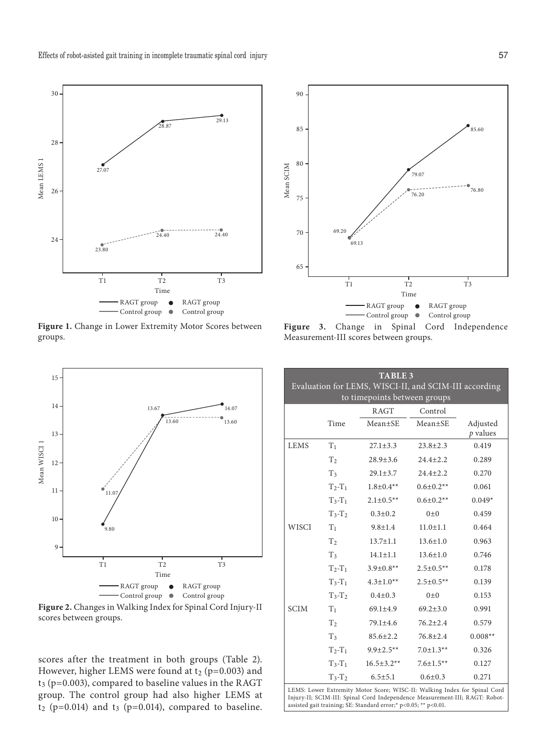

**Figure 1.** Change in Lower Extremity Motor Scores between groups.



Figure 3. Change in Spinal Cord Independence Measurement-III scores between groups.



**Figure 2.** Changes in Walking Index for Spinal Cord Injury-II

scores after the treatment in both groups (Table 2). However, higher LEMS were found at  $t_2$  (p=0.003) and  $t_3$  (p=0.003), compared to baseline values in the RAGT group. The control group had also higher LEMS at  $t_2$  (p=0.014) and  $t_3$  (p=0.014), compared to baseline.

| <b>TABLE 3</b><br>Evaluation for LEMS, WISCI-II, and SCIM-III according<br>to timepoints between groups |                |                  |                  |                        |  |  |
|---------------------------------------------------------------------------------------------------------|----------------|------------------|------------------|------------------------|--|--|
|                                                                                                         |                | <b>RAGT</b>      | Control          |                        |  |  |
|                                                                                                         | Time           | $Mean + SE$      | $Mean \pm SE$    | Adjusted<br>$p$ values |  |  |
| <b>LEMS</b>                                                                                             | $T_1$          | $27.1 + 3.3$     | $23.8 + 2.3$     | 0.419                  |  |  |
|                                                                                                         | T <sub>2</sub> | $28.9 \pm 3.6$   | $24.4 + 2.2$     | 0.289                  |  |  |
|                                                                                                         | $T_3$          | $29.1 \pm 3.7$   | $24.4 \pm 2.2$   | 0.270                  |  |  |
|                                                                                                         | $T_2-T_1$      | $1.8 \pm 0.4**$  | $0.6 \pm 0.2**$  | 0.061                  |  |  |
|                                                                                                         | $T_3-T_1$      | $2.1 \pm 0.5**$  | $0.6 \pm 0.2**$  | $0.049*$               |  |  |
|                                                                                                         | $T_3-T_2$      | $0.3 \pm 0.2$    | $0+0$            | 0.459                  |  |  |
| <b>WISCI</b>                                                                                            | T <sub>1</sub> | $9.8 + 1.4$      | $11.0 \pm 1.1$   | 0.464                  |  |  |
|                                                                                                         | $\rm T_2$      | $13.7 \pm 1.1$   | $13.6 \pm 1.0$   | 0.963                  |  |  |
|                                                                                                         | T <sub>3</sub> | $14.1 \pm 1.1$   | $13.6 \pm 1.0$   | 0.746                  |  |  |
|                                                                                                         | $T_2-T_1$      | $3.9 \pm 0.8**$  | $2.5 \pm 0.5$ ** | 0.178                  |  |  |
|                                                                                                         | $T_3-T_1$      | $4.3 \pm 1.0**$  | $2.5 \pm 0.5**$  | 0.139                  |  |  |
|                                                                                                         | $T_3-T_2$      | $0.4 \pm 0.3$    | $0\pm 0$         | 0.153                  |  |  |
| <b>SCIM</b>                                                                                             | T <sub>1</sub> | $69.1 \pm 4.9$   | $69.2 \pm 3.0$   | 0.991                  |  |  |
|                                                                                                         | T <sub>2</sub> | $79.1 \pm 4.6$   | $76.2 + 2.4$     | 0.579                  |  |  |
|                                                                                                         | T <sub>3</sub> | $85.6 \pm 2.2$   | $76.8 \pm 2.4$   | $0.008**$              |  |  |
|                                                                                                         | $T_2-T_1$      | $9.9 \pm 2.5***$ | $7.0 \pm 1.3**$  | 0.326                  |  |  |
|                                                                                                         | $T_3-T_1$      | $16.5 \pm 3.2**$ | $7.6 \pm 1.5**$  | 0.127                  |  |  |
|                                                                                                         | $T_3-T_2$      | $6.5 \pm 5.1$    | $0.6{\pm}0.3$    | 0.271                  |  |  |

LEMS: Lower Extremity Motor Score; WISC-II: Walking Index for Spinal Cord Injury-II; SCIM-III: Spinal Cord Independence Measurement-III; RAGT: Robotassisted gait training; SE: Standard error;\* p<0.05; \*\* p<0.01.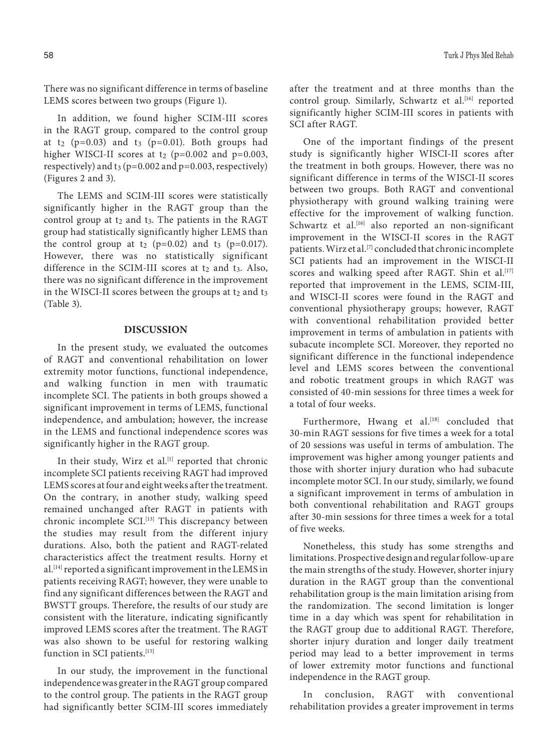There was no significant difference in terms of baseline LEMS scores between two groups (Figure 1).

In addition, we found higher SCIM-III scores in the RAGT group, compared to the control group at t<sub>2</sub> (p=0.03) and t<sub>3</sub> (p=0.01). Both groups had higher WISCI-II scores at  $t_2$  (p=0.002 and p=0.003, respectively) and  $t_3$  (p=0.002 and p=0.003, respectively) (Figures 2 and 3).

The LEMS and SCIM-III scores were statistically significantly higher in the RAGT group than the control group at  $t_2$  and  $t_3$ . The patients in the RAGT group had statistically significantly higher LEMS than the control group at  $t_2$  (p=0.02) and  $t_3$  (p=0.017). However, there was no statistically significant difference in the SCIM-III scores at  $t_2$  and  $t_3$ . Also, there was no significant difference in the improvement in the WISCI-II scores between the groups at  $t_2$  and  $t_3$ (Table 3).

## **DISCUSSION**

In the present study, we evaluated the outcomes of RAGT and conventional rehabilitation on lower extremity motor functions, functional independence, and walking function in men with traumatic incomplete SCI. The patients in both groups showed a significant improvement in terms of LEMS, functional independence, and ambulation; however, the increase in the LEMS and functional independence scores was significantly higher in the RAGT group.

In their study, Wirz et al.<sup>[1]</sup> reported that chronic incomplete SCI patients receiving RAGT had improved LEMS scores at four and eight weeks after the treatment. On the contrary, in another study, walking speed remained unchanged after RAGT in patients with chronic incomplete SCI.<sup>[13]</sup> This discrepancy between the studies may result from the different injury durations. Also, both the patient and RAGT-related characteristics affect the treatment results. Horny et al.[14] reported a significant improvement in the LEMS in patients receiving RAGT; however, they were unable to find any significant differences between the RAGT and BWSTT groups. Therefore, the results of our study are consistent with the literature, indicating significantly improved LEMS scores after the treatment. The RAGT was also shown to be useful for restoring walking function in SCI patients.<sup>[15]</sup>

In our study, the improvement in the functional independence was greater in the RAGT group compared to the control group. The patients in the RAGT group had significantly better SCIM-III scores immediately after the treatment and at three months than the control group. Similarly, Schwartz et al.<sup>[16]</sup> reported significantly higher SCIM-III scores in patients with SCI after RAGT.

One of the important findings of the present study is significantly higher WISCI-II scores after the treatment in both groups. However, there was no significant difference in terms of the WISCI-II scores between two groups. Both RAGT and conventional physiotherapy with ground walking training were effective for the improvement of walking function. Schwartz et al.<sup>[16]</sup> also reported an non-significant improvement in the WISCI-II scores in the RAGT patients. Wirz et al.[7] concluded that chronic incomplete SCI patients had an improvement in the WISCI-II scores and walking speed after RAGT. Shin et al.<sup>[17]</sup> reported that improvement in the LEMS, SCIM-III, and WISCI-II scores were found in the RAGT and conventional physiotherapy groups; however, RAGT with conventional rehabilitation provided better improvement in terms of ambulation in patients with subacute incomplete SCI. Moreover, they reported no significant difference in the functional independence level and LEMS scores between the conventional and robotic treatment groups in which RAGT was consisted of 40-min sessions for three times a week for a total of four weeks.

Furthermore, Hwang et al.<sup>[18]</sup> concluded that 30-min RAGT sessions for five times a week for a total of 20 sessions was useful in terms of ambulation. The improvement was higher among younger patients and those with shorter injury duration who had subacute incomplete motor SCI. In our study, similarly, we found a significant improvement in terms of ambulation in both conventional rehabilitation and RAGT groups after 30-min sessions for three times a week for a total of five weeks.

Nonetheless, this study has some strengths and limitations. Prospective design and regular follow-up are the main strengths of the study. However, shorter injury duration in the RAGT group than the conventional rehabilitation group is the main limitation arising from the randomization. The second limitation is longer time in a day which was spent for rehabilitation in the RAGT group due to additional RAGT. Therefore, shorter injury duration and longer daily treatment period may lead to a better improvement in terms of lower extremity motor functions and functional independence in the RAGT group.

In conclusion, RAGT with conventional rehabilitation provides a greater improvement in terms